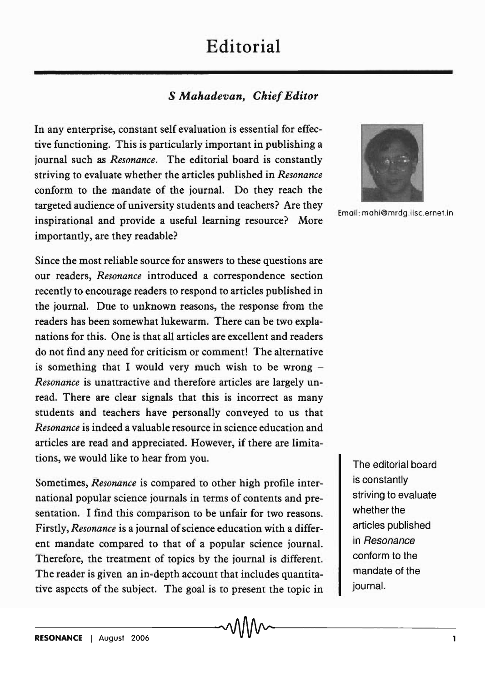## **Editorial**

## *S Mahadevan, Chief Editor*

In any enterprise, constant self evaluation is essential for effective functioning. This is particularly important in publishing a journal such as *Resonance.* The editorial board is constantly striving to evaluate whether the articles published in *Resonance*  conform to the mandate of the journal. Do they reach the targeted audience of university students and teachers? Are they inspirational and provide a useful learning resource? More importantly, are they readable?

Since the most reliable source for answers to these questions are our readers, *Resonance* introduced a correspondence section recently to encourage readers to respond to articles published in the journal. Due to unknown reasons, the response from the readers has been somewhat lukewarm. There can be two explanations for this. One is that all articles are excellent and readers do not find any need for criticism or comment! The alternative is something that I would very much wish to be wrong  $-$ *Resonance* is unattractive and therefore articles are largely unread. There are clear signals that this is incorrect as many students and teachers have personally conveyed to us that *Resonance* is indeed a valuable resource in science education and articles are read and appreciated. However, if there are limitations, we would like to hear from you.

Sometimes, *Resonance* is compared to other high profile international popular science journals in terms of contents and presentation. I find this comparison to be unfair for two reasons. Firstly, *Resonance* is a journal of science education with a different mandate compared to that of a popular science journal. Therefore, the treatment of topics by the journal is different. The reader is given an in-depth account that includes quantitative aspects of the subject. The goal is to present the topic in



Email: mahi@mrdg.iisc.ernet.in

The editorial board is constantly striving to evaluate whether the articles published in Resonance conform to the mandate of the journal.